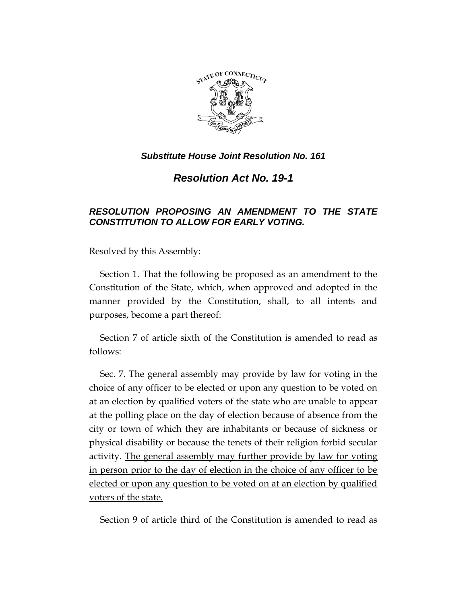

*Resolution Act No. 19-1*

## *RESOLUTION PROPOSING AN AMENDMENT TO THE STATE CONSTITUTION TO ALLOW FOR EARLY VOTING.*

Resolved by this Assembly:

Section 1. That the following be proposed as an amendment to the Constitution of the State, which, when approved and adopted in the manner provided by the Constitution, shall, to all intents and purposes, become a part thereof:

Section 7 of article sixth of the Constitution is amended to read as follows:

Sec. 7. The general assembly may provide by law for voting in the choice of any officer to be elected or upon any question to be voted on at an election by qualified voters of the state who are unable to appear at the polling place on the day of election because of absence from the city or town of which they are inhabitants or because of sickness or physical disability or because the tenets of their religion forbid secular activity. The general assembly may further provide by law for voting in person prior to the day of election in the choice of any officer to be elected or upon any question to be voted on at an election by qualified voters of the state.

Section 9 of article third of the Constitution is amended to read as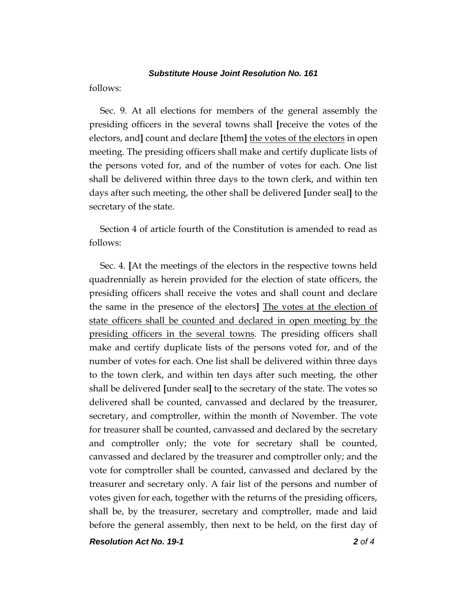follows:

Sec. 9. At all elections for members of the general assembly the presiding officers in the several towns shall **[**receive the votes of the electors, and**]** count and declare **[**them**]** the votes of the electors in open meeting. The presiding officers shall make and certify duplicate lists of the persons voted for, and of the number of votes for each. One list shall be delivered within three days to the town clerk, and within ten days after such meeting, the other shall be delivered **[**under seal**]** to the secretary of the state.

Section 4 of article fourth of the Constitution is amended to read as follows:

Sec. 4. **[**At the meetings of the electors in the respective towns held quadrennially as herein provided for the election of state officers, the presiding officers shall receive the votes and shall count and declare the same in the presence of the electors**]** The votes at the election of state officers shall be counted and declared in open meeting by the presiding officers in the several towns. The presiding officers shall make and certify duplicate lists of the persons voted for, and of the number of votes for each. One list shall be delivered within three days to the town clerk, and within ten days after such meeting, the other shall be delivered **[**under seal**]** to the secretary of the state. The votes so delivered shall be counted, canvassed and declared by the treasurer, secretary, and comptroller, within the month of November. The vote for treasurer shall be counted, canvassed and declared by the secretary and comptroller only; the vote for secretary shall be counted, canvassed and declared by the treasurer and comptroller only; and the vote for comptroller shall be counted, canvassed and declared by the treasurer and secretary only. A fair list of the persons and number of votes given for each, together with the returns of the presiding officers, shall be, by the treasurer, secretary and comptroller, made and laid before the general assembly, then next to be held, on the first day of

*Resolution Act No. 19-1 2 of 4*